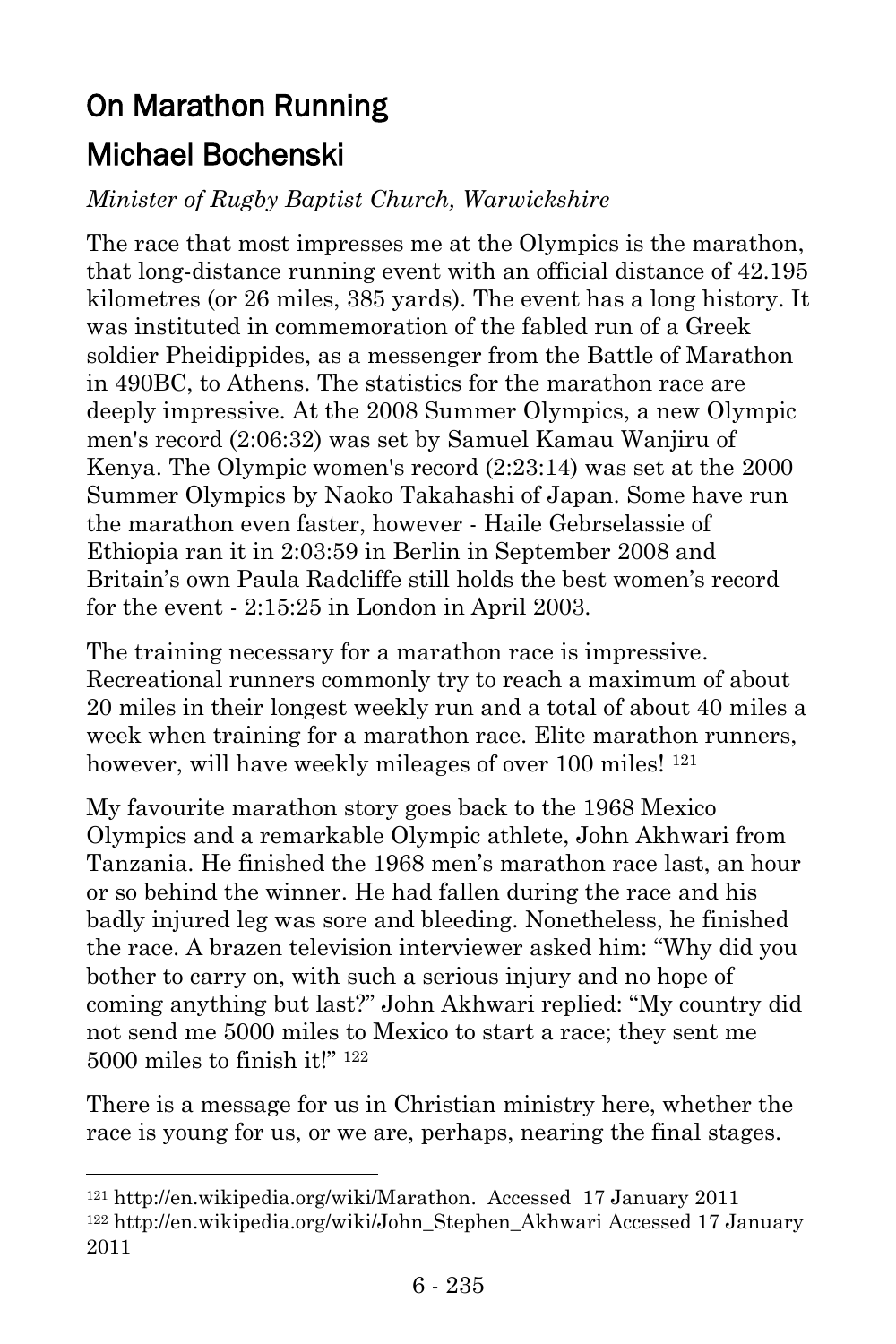# On Marathon Running Michael Bochenski

l

## *Minister of Rugby Baptist Church, Warwickshire*

The race that most impresses me at the Olympics is the marathon, that long-distance [running](http://en.wikipedia.org/wiki/Running) event with an official distance of 42.195 [kilometres](http://en.wikipedia.org/wiki/Kilometre) (or 26 [miles,](http://en.wikipedia.org/wiki/Mile) 385 [yards\)](http://en.wikipedia.org/wiki/Yard). The event has a long history. It was instituted in commemoration of the fabled run of a Greek soldier [Pheidippides,](http://en.wikipedia.org/wiki/Pheidippides) as a messenger from the [Battle of Marathon](http://en.wikipedia.org/wiki/Battle_of_Marathon) in 490BC, to [Athens.](http://en.wikipedia.org/wiki/Athens) The statistics for the marathon race are deeply impressive. At the [2008 Summer Olympics,](http://en.wikipedia.org/wiki/2008_Summer_Olympics) a new Olympic men's record (2:06:32) was set by [Samuel Kamau Wanjiru](http://en.wikipedia.org/wiki/Samuel_Kamau_Wanjiru) of Kenya. The Olympic women's record (2:23:14) was set at the [2000](http://en.wikipedia.org/wiki/2000_Summer_Olympics)  [Summer Olympics](http://en.wikipedia.org/wiki/2000_Summer_Olympics) by [Naoko Takahashi](http://en.wikipedia.org/wiki/Naoko_Takahashi) of Japan. Some have run the marathon even faster, however - [Haile Gebrselassie](http://en.wikipedia.org/wiki/Haile_Gebrselassie) of [Ethiopia](http://en.wikipedia.org/wiki/Ethiopia) ran it in 2:03:59 in Berlin in September 2008 and Britain's own Paula Radcliffe still holds the best women's record for the event - 2:15:25 in London in April 2003.

The training necessary for a marathon race is impressive. Recreational runners commonly try to reach a maximum of about 20 miles in their longest weekly run and a total of about 40 miles a week when training for a marathon race. Elite marathon runners, however, will have weekly mileages of over 100 miles! <sup>121</sup>

My favourite marathon story goes back to the 1968 Mexico Olympics and a remarkable Olympic athlete, John Akhwari from Tanzania. He finished the 1968 men's marathon race last, an hour or so behind the winner. He had fallen during the race and his badly injured leg was sore and bleeding. Nonetheless, he finished the race. A brazen television interviewer asked him: "Why did you bother to carry on, with such a serious injury and no hope of coming anything but last?" John Akhwari replied: "My country did not send me 5000 miles to Mexico to start a race; they sent me  $5000$  miles to finish it!"  $122$ 

There is a message for us in Christian ministry here, whether the race is young for us, or we are, perhaps, nearing the final stages.

<sup>121</sup> [http://en.wikipedia.org/wiki/Marathon.](http://en.wikipedia.org/wiki/Marathon) Accessed 17 January 2011 <sup>122</sup> [http://en.wikipedia.org/wiki/John\\_Stephen\\_Akhwari](http://en.wikipedia.org/wiki/John_Stephen_Akhwari) Accessed 17 January 2011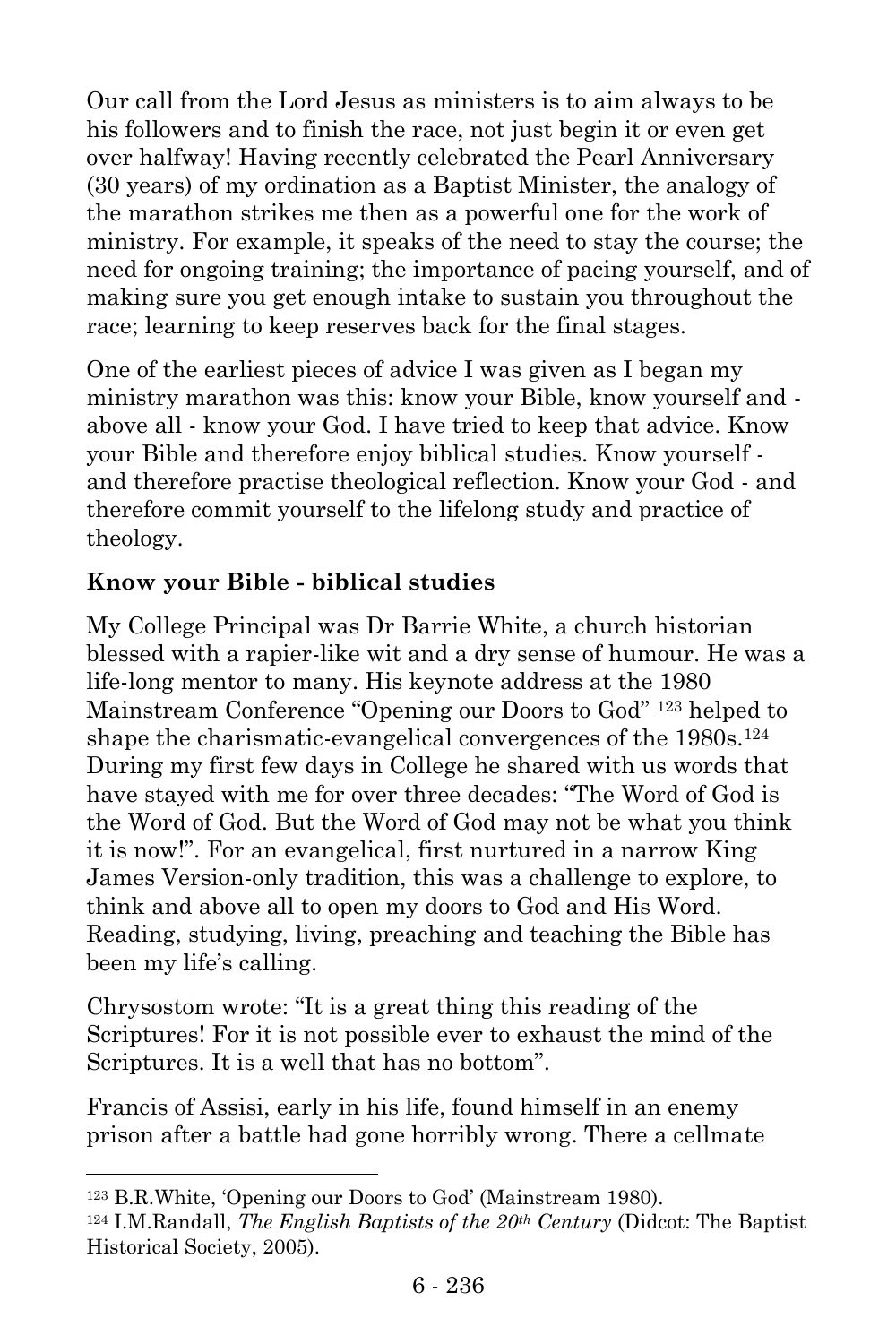Our call from the Lord Jesus as ministers is to aim always to be his followers and to finish the race, not just begin it or even get over halfway! Having recently celebrated the Pearl Anniversary (30 years) of my ordination as a Baptist Minister, the analogy of the marathon strikes me then as a powerful one for the work of ministry. For example, it speaks of the need to stay the course; the need for ongoing training; the importance of pacing yourself, and of making sure you get enough intake to sustain you throughout the race; learning to keep reserves back for the final stages.

One of the earliest pieces of advice I was given as I began my ministry marathon was this: know your Bible, know yourself and above all - know your God. I have tried to keep that advice. Know your Bible and therefore enjoy biblical studies. Know yourself and therefore practise theological reflection. Know your God - and therefore commit yourself to the lifelong study and practice of theology.

# **Know your Bible - biblical studies**

My College Principal was Dr Barrie White, a church historian blessed with a rapier-like wit and a dry sense of humour. He was a life-long mentor to many. His keynote address at the 1980 Mainstream Conference "Opening our Doors to God" <sup>123</sup> helped to shape the charismatic-evangelical convergences of the 1980s.<sup>124</sup> During my first few days in College he shared with us words that have stayed with me for over three decades: "The Word of God is the Word of God. But the Word of God may not be what you think it is now!". For an evangelical, first nurtured in a narrow King James Version-only tradition, this was a challenge to explore, to think and above all to open my doors to God and His Word. Reading, studying, living, preaching and teaching the Bible has been my life's calling.

Chrysostom wrote: "It is a great thing this reading of the Scriptures! For it is not possible ever to exhaust the mind of the Scriptures. It is a well that has no bottom".

Francis of Assisi, early in his life, found himself in an enemy prison after a battle had gone horribly wrong. There a cellmate

l

<sup>123</sup> B.R.White, 'Opening our Doors to God' (Mainstream 1980).

<sup>124</sup> I.M.Randall, *The English Baptists of the 20th Century* (Didcot: The Baptist Historical Society, 2005).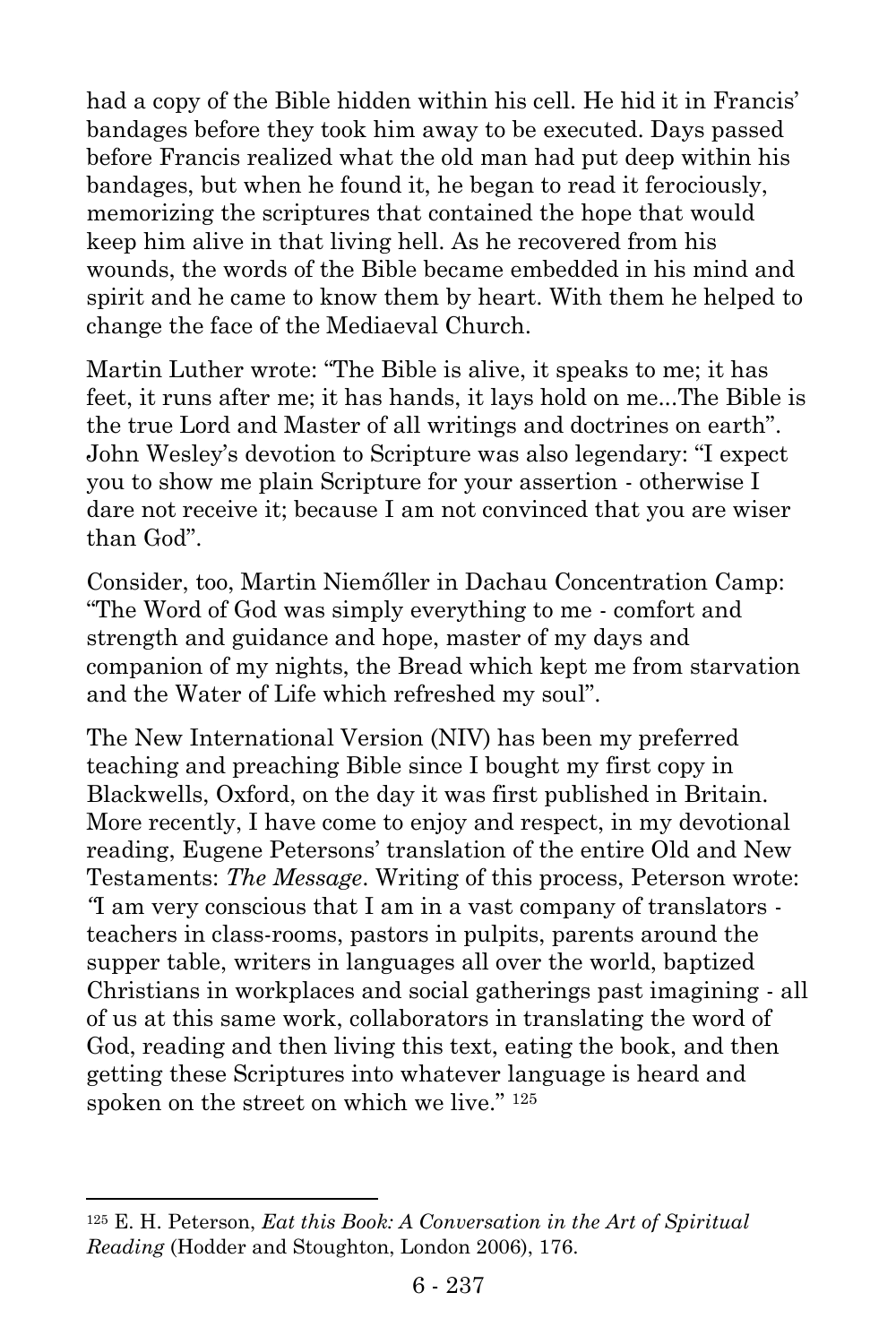had a copy of the Bible hidden within his cell. He hid it in Francis' bandages before they took him away to be executed. Days passed before Francis realized what the old man had put deep within his bandages, but when he found it, he began to read it ferociously, memorizing the scriptures that contained the hope that would keep him alive in that living hell. As he recovered from his wounds, the words of the Bible became embedded in his mind and spirit and he came to know them by heart. With them he helped to change the face of the Mediaeval Church.

Martin Luther wrote: "The Bible is alive, it speaks to me; it has feet, it runs after me; it has hands, it lays hold on me...The Bible is the true Lord and Master of all writings and doctrines on earth". John Wesley's devotion to Scripture was also legendary: "I expect you to show me plain Scripture for your assertion - otherwise I dare not receive it; because I am not convinced that you are wiser than God".

Consider, too, Martin Niemőller in Dachau Concentration Camp: "The Word of God was simply everything to me - comfort and strength and guidance and hope, master of my days and companion of my nights, the Bread which kept me from starvation and the Water of Life which refreshed my soul".

The New International Version (NIV) has been my preferred teaching and preaching Bible since I bought my first copy in Blackwells, Oxford, on the day it was first published in Britain. More recently, I have come to enjoy and respect, in my devotional reading, Eugene Petersons' translation of the entire Old and New Testaments: *The Message*. Writing of this process, Peterson wrote: *"*I am very conscious that I am in a vast company of translators teachers in class-rooms, pastors in pulpits, parents around the supper table, writers in languages all over the world, baptized Christians in workplaces and social gatherings past imagining - all of us at this same work, collaborators in translating the word of God, reading and then living this text, eating the book, and then getting these Scriptures into whatever language is heard and spoken on the street on which we live." <sup>125</sup>

l

<sup>125</sup> E. H. Peterson, *Eat this Book: A Conversation in the Art of Spiritual Reading* (Hodder and Stoughton, London 2006), 176.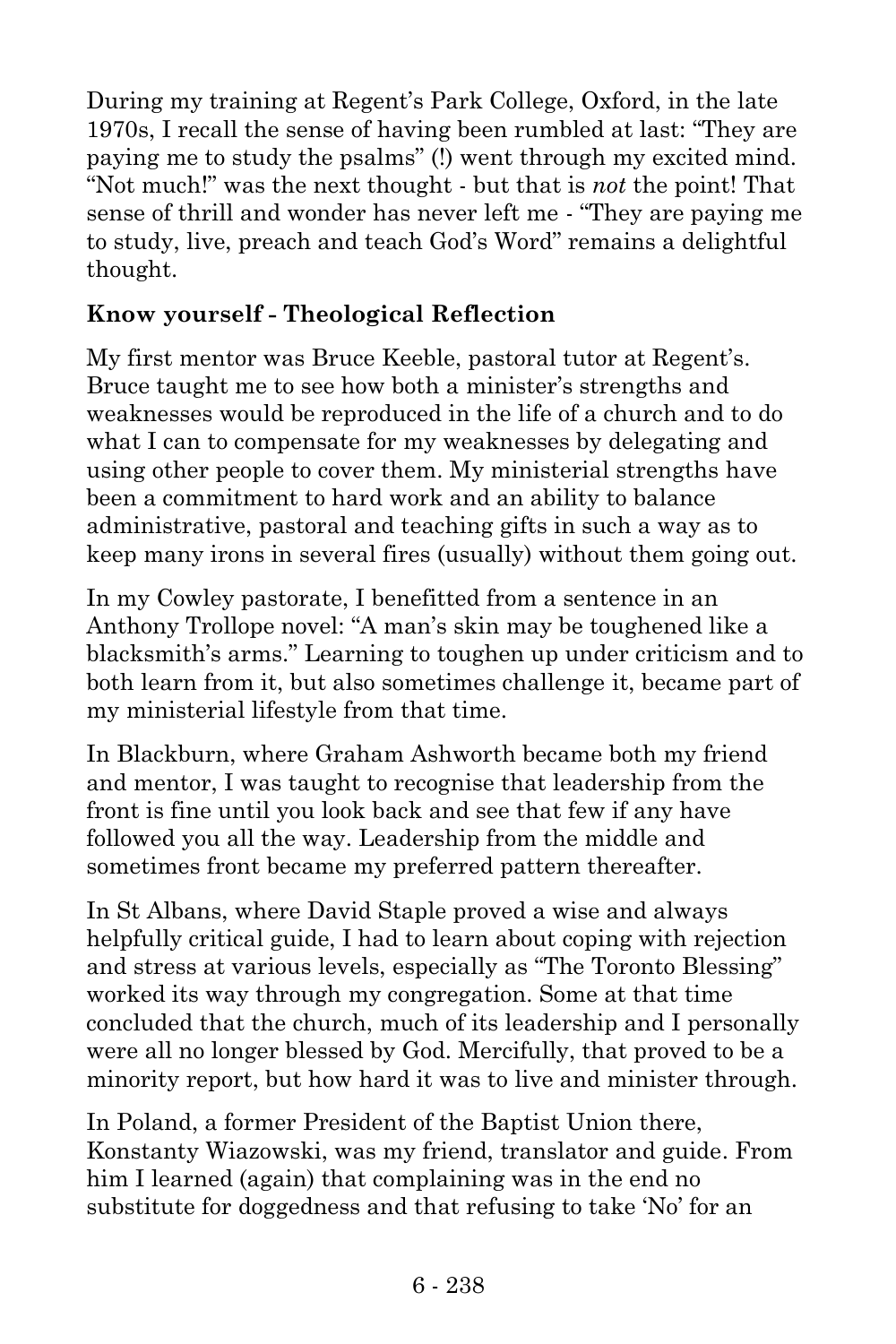During my training at Regent's Park College, Oxford, in the late 1970s, I recall the sense of having been rumbled at last: "They are paying me to study the psalms" (!) went through my excited mind. "Not much!" was the next thought - but that is *not* the point! That sense of thrill and wonder has never left me - "They are paying me to study, live, preach and teach God's Word" remains a delightful thought.

### **Know yourself - Theological Reflection**

My first mentor was Bruce Keeble, pastoral tutor at Regent's. Bruce taught me to see how both a minister's strengths and weaknesses would be reproduced in the life of a church and to do what I can to compensate for my weaknesses by delegating and using other people to cover them. My ministerial strengths have been a commitment to hard work and an ability to balance administrative, pastoral and teaching gifts in such a way as to keep many irons in several fires (usually) without them going out.

In my Cowley pastorate, I benefitted from a sentence in an Anthony Trollope novel: "A man's skin may be toughened like a blacksmith's arms." Learning to toughen up under criticism and to both learn from it, but also sometimes challenge it, became part of my ministerial lifestyle from that time.

In Blackburn, where Graham Ashworth became both my friend and mentor, I was taught to recognise that leadership from the front is fine until you look back and see that few if any have followed you all the way. Leadership from the middle and sometimes front became my preferred pattern thereafter.

In St Albans, where David Staple proved a wise and always helpfully critical guide, I had to learn about coping with rejection and stress at various levels, especially as "The Toronto Blessing" worked its way through my congregation. Some at that time concluded that the church, much of its leadership and I personally were all no longer blessed by God. Mercifully, that proved to be a minority report, but how hard it was to live and minister through.

In Poland, a former President of the Baptist Union there, Konstanty Wiazowski, was my friend, translator and guide. From him I learned (again) that complaining was in the end no substitute for doggedness and that refusing to take 'No' for an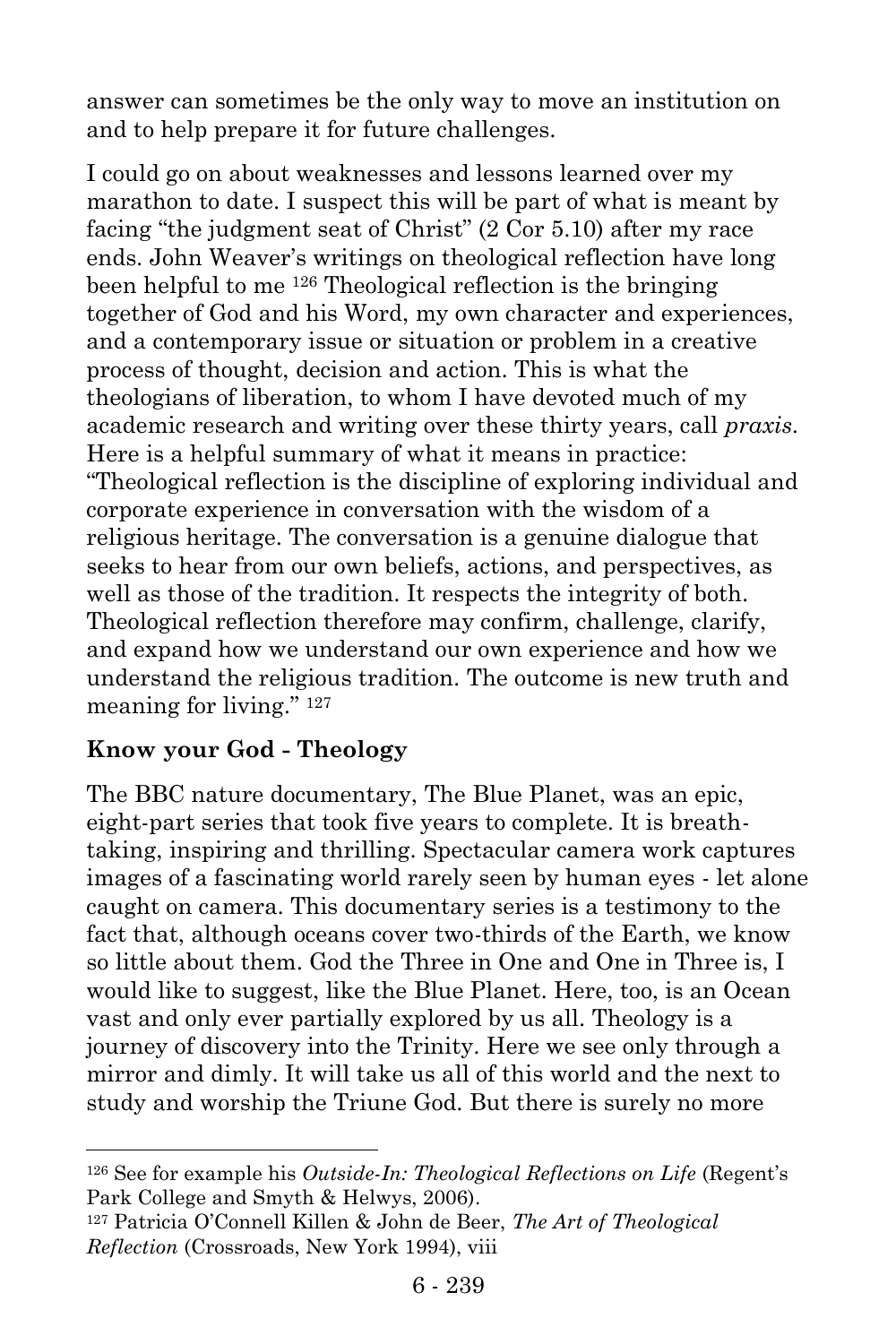answer can sometimes be the only way to move an institution on and to help prepare it for future challenges.

I could go on about weaknesses and lessons learned over my marathon to date. I suspect this will be part of what is meant by facing "the judgment seat of Christ" (2 Cor 5.10) after my race ends. John Weaver's writings on theological reflection have long been helpful to me <sup>126</sup> Theological reflection is the bringing together of God and his Word, my own character and experiences, and a contemporary issue or situation or problem in a creative process of thought, decision and action. This is what the theologians of liberation, to whom I have devoted much of my academic research and writing over these thirty years, call *praxis*. Here is a helpful summary of what it means in practice: "Theological reflection is the discipline of exploring individual and corporate experience in conversation with the wisdom of a religious heritage. The conversation is a genuine dialogue that seeks to hear from our own beliefs, actions, and perspectives, as well as those of the tradition. It respects the integrity of both. Theological reflection therefore may confirm, challenge, clarify, and expand how we understand our own experience and how we understand the religious tradition. The outcome is new truth and meaning for living." <sup>127</sup>

#### **Know your God - Theology**

l

The BBC nature documentary, The Blue Planet, was an epic, eight-part series that took five years to complete. It is breathtaking, inspiring and thrilling. Spectacular camera work captures images of a fascinating world rarely seen by human eyes - let alone caught on camera. This documentary series is a testimony to the fact that, although oceans cover two-thirds of the Earth, we know so little about them. God the Three in One and One in Three is, I would like to suggest, like the Blue Planet. Here, too, is an Ocean vast and only ever partially explored by us all. Theology is a journey of discovery into the Trinity. Here we see only through a mirror and dimly. It will take us all of this world and the next to study and worship the Triune God. But there is surely no more

<sup>126</sup> See for example his *Outside-In: Theological Reflections on Life* (Regent's Park College and Smyth & Helwys, 2006).

<sup>127</sup> Patricia O'Connell Killen & John de Beer, *The Art of Theological Reflection* (Crossroads, New York 1994), viii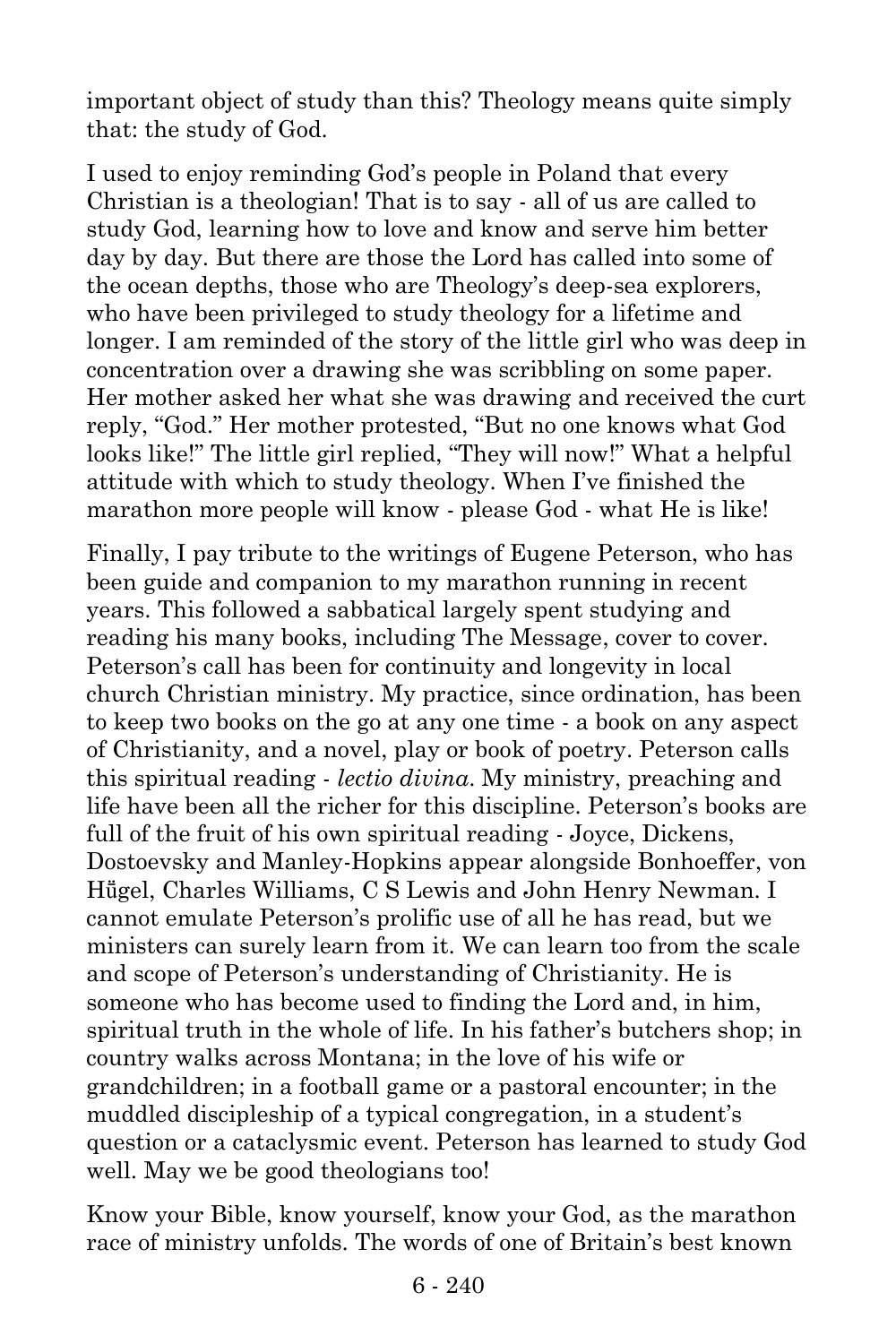important object of study than this? Theology means quite simply that: the study of God.

I used to enjoy reminding God's people in Poland that every Christian is a theologian! That is to say - all of us are called to study God, learning how to love and know and serve him better day by day. But there are those the Lord has called into some of the ocean depths, those who are Theology's deep-sea explorers, who have been privileged to study theology for a lifetime and longer. I am reminded of the story of the little girl who was deep in concentration over a drawing she was scribbling on some paper. Her mother asked her what she was drawing and received the curt reply, "God." Her mother protested, "But no one knows what God looks like!" The little girl replied, "They will now!" What a helpful attitude with which to study theology. When I've finished the marathon more people will know - please God - what He is like!

Finally, I pay tribute to the writings of Eugene Peterson, who has been guide and companion to my marathon running in recent years. This followed a sabbatical largely spent studying and reading his many books, including The Message, cover to cover. Peterson's call has been for continuity and longevity in local church Christian ministry. My practice, since ordination, has been to keep two books on the go at any one time - a book on any aspect of Christianity, and a novel, play or book of poetry. Peterson calls this spiritual reading - *lectio divina*. My ministry, preaching and life have been all the richer for this discipline. Peterson's books are full of the fruit of his own spiritual reading - Joyce, Dickens, Dostoevsky and Manley-Hopkins appear alongside Bonhoeffer, von Hügel, Charles Williams, C S Lewis and John Henry Newman. I cannot emulate Peterson's prolific use of all he has read, but we ministers can surely learn from it. We can learn too from the scale and scope of Peterson's understanding of Christianity. He is someone who has become used to finding the Lord and, in him, spiritual truth in the whole of life. In his father's butchers shop; in country walks across Montana; in the love of his wife or grandchildren; in a football game or a pastoral encounter; in the muddled discipleship of a typical congregation, in a student's question or a cataclysmic event. Peterson has learned to study God well. May we be good theologians too!

Know your Bible, know yourself, know your God, as the marathon race of ministry unfolds. The words of one of Britain's best known